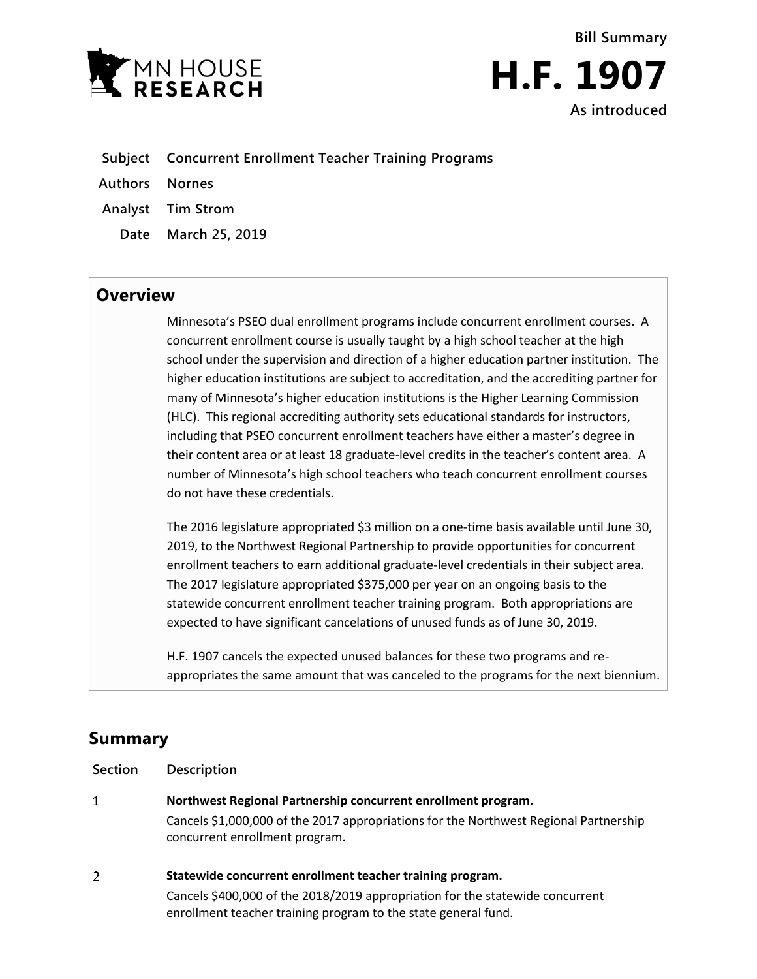



- **Subject Concurrent Enrollment Teacher Training Programs**
- **Authors Nornes**
- **Analyst Tim Strom**
	- **Date March 25, 2019**

## **Overview**

Minnesota's PSEO dual enrollment programs include concurrent enrollment courses. A concurrent enrollment course is usually taught by a high school teacher at the high school under the supervision and direction of a higher education partner institution. The higher education institutions are subject to accreditation, and the accrediting partner for many of Minnesota's higher education institutions is the Higher Learning Commission (HLC). This regional accrediting authority sets educational standards for instructors, including that PSEO concurrent enrollment teachers have either a master's degree in their content area or at least 18 graduate-level credits in the teacher's content area. A number of Minnesota's high school teachers who teach concurrent enrollment courses do not have these credentials.

The 2016 legislature appropriated \$3 million on a one-time basis available until June 30, 2019, to the Northwest Regional Partnership to provide opportunities for concurrent enrollment teachers to earn additional graduate-level credentials in their subject area. The 2017 legislature appropriated \$375,000 per year on an ongoing basis to the statewide concurrent enrollment teacher training program. Both appropriations are expected to have significant cancelations of unused funds as of June 30, 2019.

H.F. 1907 cancels the expected unused balances for these two programs and reappropriates the same amount that was canceled to the programs for the next biennium.

## **Summary**

| <b>Section</b> | <b>Description</b>                                                                                                                              |
|----------------|-------------------------------------------------------------------------------------------------------------------------------------------------|
| 1              | Northwest Regional Partnership concurrent enrollment program.                                                                                   |
|                | Cancels \$1,000,000 of the 2017 appropriations for the Northwest Regional Partnership<br>concurrent enrollment program.                         |
| 2              | Statewide concurrent enrollment teacher training program.                                                                                       |
|                | Cancels \$400,000 of the 2018/2019 appropriation for the statewide concurrent<br>enrollment teacher training program to the state general fund. |